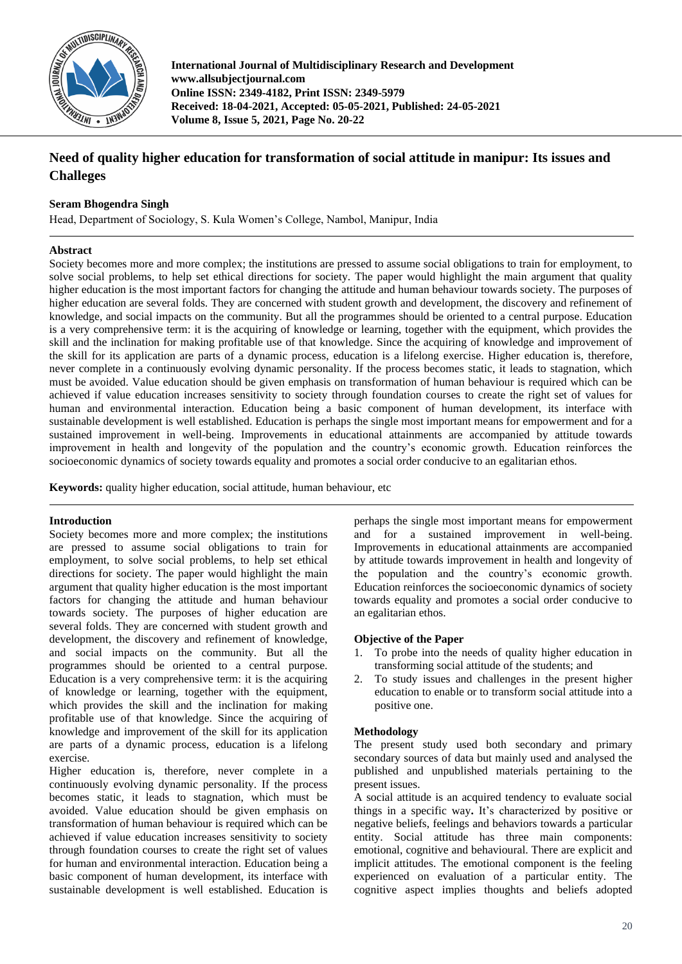

**International Journal of Multidisciplinary Research and Development www.allsubjectjournal.com Online ISSN: 2349-4182, Print ISSN: 2349-5979 Received: 18-04-2021, Accepted: 05-05-2021, Published: 24-05-2021 Volume 8, Issue 5, 2021, Page No. 20-22**

# **Need of quality higher education for transformation of social attitude in manipur: Its issues and Challeges**

## **Seram Bhogendra Singh**

Head, Department of Sociology, S. Kula Women's College, Nambol, Manipur, India

## **Abstract**

Society becomes more and more complex; the institutions are pressed to assume social obligations to train for employment, to solve social problems, to help set ethical directions for society. The paper would highlight the main argument that quality higher education is the most important factors for changing the attitude and human behaviour towards society. The purposes of higher education are several folds. They are concerned with student growth and development, the discovery and refinement of knowledge, and social impacts on the community. But all the programmes should be oriented to a central purpose. Education is a very comprehensive term: it is the acquiring of knowledge or learning, together with the equipment, which provides the skill and the inclination for making profitable use of that knowledge. Since the acquiring of knowledge and improvement of the skill for its application are parts of a dynamic process, education is a lifelong exercise. Higher education is, therefore, never complete in a continuously evolving dynamic personality. If the process becomes static, it leads to stagnation, which must be avoided. Value education should be given emphasis on transformation of human behaviour is required which can be achieved if value education increases sensitivity to society through foundation courses to create the right set of values for human and environmental interaction. Education being a basic component of human development, its interface with sustainable development is well established. Education is perhaps the single most important means for empowerment and for a sustained improvement in well-being. Improvements in educational attainments are accompanied by attitude towards improvement in health and longevity of the population and the country's economic growth. Education reinforces the socioeconomic dynamics of society towards equality and promotes a social order conducive to an egalitarian ethos.

**Keywords:** quality higher education, social attitude, human behaviour, etc

## **Introduction**

Society becomes more and more complex; the institutions are pressed to assume social obligations to train for employment, to solve social problems, to help set ethical directions for society. The paper would highlight the main argument that quality higher education is the most important factors for changing the attitude and human behaviour towards society. The purposes of higher education are several folds. They are concerned with student growth and development, the discovery and refinement of knowledge, and social impacts on the community. But all the programmes should be oriented to a central purpose. Education is a very comprehensive term: it is the acquiring of knowledge or learning, together with the equipment, which provides the skill and the inclination for making profitable use of that knowledge. Since the acquiring of knowledge and improvement of the skill for its application are parts of a dynamic process, education is a lifelong exercise.

Higher education is, therefore, never complete in a continuously evolving dynamic personality. If the process becomes static, it leads to stagnation, which must be avoided. Value education should be given emphasis on transformation of human behaviour is required which can be achieved if value education increases sensitivity to society through foundation courses to create the right set of values for human and environmental interaction. Education being a basic component of human development, its interface with sustainable development is well established. Education is

perhaps the single most important means for empowerment and for a sustained improvement in well-being. Improvements in educational attainments are accompanied by attitude towards improvement in health and longevity of the population and the country's economic growth. Education reinforces the socioeconomic dynamics of society towards equality and promotes a social order conducive to an egalitarian ethos.

## **Objective of the Paper**

- 1. To probe into the needs of quality higher education in transforming social attitude of the students; and
- 2. To study issues and challenges in the present higher education to enable or to transform social attitude into a positive one.

#### **Methodology**

The present study used both secondary and primary secondary sources of data but mainly used and analysed the published and unpublished materials pertaining to the present issues.

A social attitude is an acquired tendency to evaluate social things in a specific way**.** It's characterized by positive or negative beliefs, feelings and behaviors towards a particular entity. Social attitude has three main components: emotional, cognitive and behavioural. There are explicit and implicit attitudes. The emotional component is the feeling experienced on evaluation of a particular entity. The cognitive aspect implies thoughts and beliefs adopted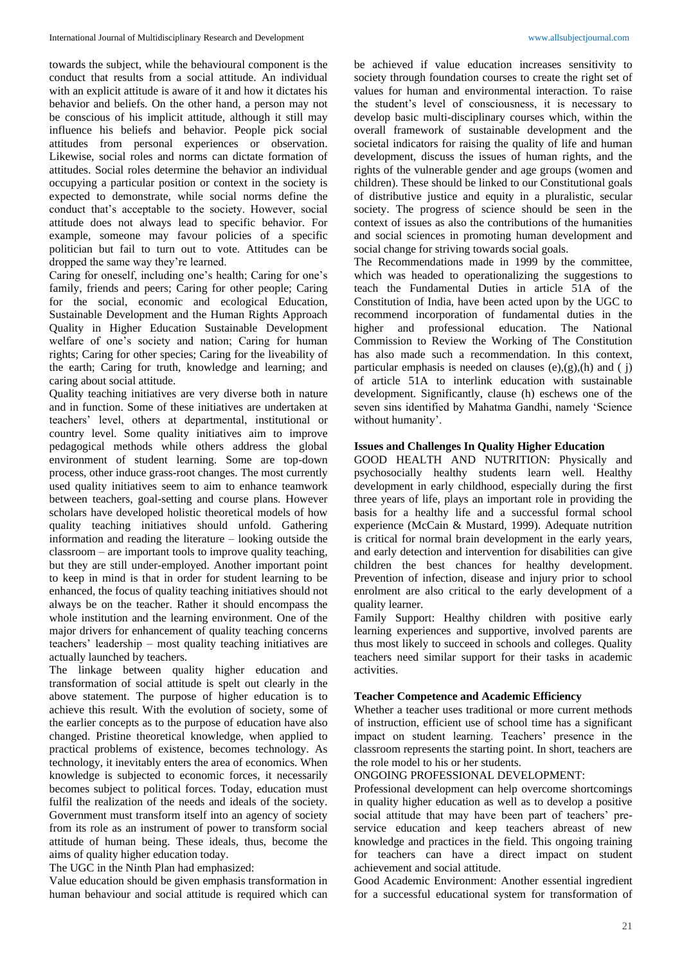towards the subject, while the behavioural component is the conduct that results from a social attitude. An individual with an explicit attitude is aware of it and how it dictates his behavior and beliefs. On the other hand, a person may not be conscious of his implicit attitude, although it still may influence his beliefs and behavior. People pick social attitudes from personal experiences or observation. Likewise, social roles and norms can dictate formation of attitudes. Social roles determine the behavior an individual occupying a particular position or context in the society is expected to demonstrate, while social norms define the conduct that's acceptable to the society. However, social attitude does not always lead to specific behavior. For example, someone may favour policies of a specific politician but fail to turn out to vote. Attitudes can be dropped the same way they're learned.

Caring for oneself, including one's health; Caring for one's family, friends and peers; Caring for other people; Caring for the social, economic and ecological Education, Sustainable Development and the Human Rights Approach Quality in Higher Education Sustainable Development welfare of one's society and nation; Caring for human rights; Caring for other species; Caring for the liveability of the earth; Caring for truth, knowledge and learning; and caring about social attitude.

Quality teaching initiatives are very diverse both in nature and in function. Some of these initiatives are undertaken at teachers' level, others at departmental, institutional or country level. Some quality initiatives aim to improve pedagogical methods while others address the global environment of student learning. Some are top-down process, other induce grass-root changes. The most currently used quality initiatives seem to aim to enhance teamwork between teachers, goal-setting and course plans. However scholars have developed holistic theoretical models of how quality teaching initiatives should unfold. Gathering information and reading the literature – looking outside the classroom – are important tools to improve quality teaching, but they are still under-employed. Another important point to keep in mind is that in order for student learning to be enhanced, the focus of quality teaching initiatives should not always be on the teacher. Rather it should encompass the whole institution and the learning environment. One of the major drivers for enhancement of quality teaching concerns teachers' leadership – most quality teaching initiatives are actually launched by teachers.

The linkage between quality higher education and transformation of social attitude is spelt out clearly in the above statement. The purpose of higher education is to achieve this result. With the evolution of society, some of the earlier concepts as to the purpose of education have also changed. Pristine theoretical knowledge, when applied to practical problems of existence, becomes technology. As technology, it inevitably enters the area of economics. When knowledge is subjected to economic forces, it necessarily becomes subject to political forces. Today, education must fulfil the realization of the needs and ideals of the society. Government must transform itself into an agency of society from its role as an instrument of power to transform social attitude of human being. These ideals, thus, become the aims of quality higher education today.

The UGC in the Ninth Plan had emphasized:

Value education should be given emphasis transformation in human behaviour and social attitude is required which can

be achieved if value education increases sensitivity to society through foundation courses to create the right set of values for human and environmental interaction. To raise the student's level of consciousness, it is necessary to develop basic multi-disciplinary courses which, within the overall framework of sustainable development and the societal indicators for raising the quality of life and human development, discuss the issues of human rights, and the rights of the vulnerable gender and age groups (women and children). These should be linked to our Constitutional goals of distributive justice and equity in a pluralistic, secular society. The progress of science should be seen in the context of issues as also the contributions of the humanities and social sciences in promoting human development and social change for striving towards social goals.

The Recommendations made in 1999 by the committee, which was headed to operationalizing the suggestions to teach the Fundamental Duties in article 51A of the Constitution of India, have been acted upon by the UGC to recommend incorporation of fundamental duties in the higher and professional education. The National Commission to Review the Working of The Constitution has also made such a recommendation. In this context, particular emphasis is needed on clauses  $(e)$ , $(g)$ , $(h)$  and  $(j)$ of article 51A to interlink education with sustainable development. Significantly, clause (h) eschews one of the seven sins identified by Mahatma Gandhi, namely 'Science without humanity'.

#### **Issues and Challenges In Quality Higher Education**

GOOD HEALTH AND NUTRITION: Physically and psychosocially healthy students learn well. Healthy development in early childhood, especially during the first three years of life, plays an important role in providing the basis for a healthy life and a successful formal school experience (McCain & Mustard, 1999). Adequate nutrition is critical for normal brain development in the early years, and early detection and intervention for disabilities can give children the best chances for healthy development. Prevention of infection, disease and injury prior to school enrolment are also critical to the early development of a quality learner.

Family Support: Healthy children with positive early learning experiences and supportive, involved parents are thus most likely to succeed in schools and colleges. Quality teachers need similar support for their tasks in academic activities.

#### **Teacher Competence and Academic Efficiency**

Whether a teacher uses traditional or more current methods of instruction, efficient use of school time has a significant impact on student learning. Teachers' presence in the classroom represents the starting point. In short, teachers are the role model to his or her students.

#### ONGOING PROFESSIONAL DEVELOPMENT:

Professional development can help overcome shortcomings in quality higher education as well as to develop a positive social attitude that may have been part of teachers' preservice education and keep teachers abreast of new knowledge and practices in the field. This ongoing training for teachers can have a direct impact on student achievement and social attitude.

Good Academic Environment: Another essential ingredient for a successful educational system for transformation of